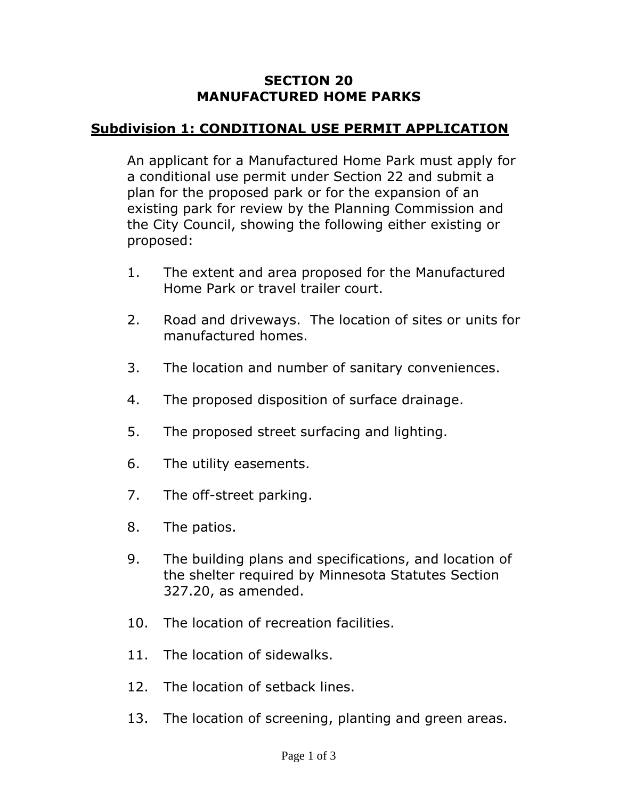#### **SECTION 20 MANUFACTURED HOME PARKS**

## **Subdivision 1: CONDITIONAL USE PERMIT APPLICATION**

An applicant for a Manufactured Home Park must apply for a conditional use permit under Section 22 and submit a plan for the proposed park or for the expansion of an existing park for review by the Planning Commission and the City Council, showing the following either existing or proposed:

- 1. The extent and area proposed for the Manufactured Home Park or travel trailer court.
- 2. Road and driveways. The location of sites or units for manufactured homes.
- 3. The location and number of sanitary conveniences.
- 4. The proposed disposition of surface drainage.
- 5. The proposed street surfacing and lighting.
- 6. The utility easements.
- 7. The off-street parking.
- 8. The patios.
- 9. The building plans and specifications, and location of the shelter required by Minnesota Statutes Section 327.20, as amended.
- 10. The location of recreation facilities.
- 11. The location of sidewalks.
- 12. The location of setback lines.
- 13. The location of screening, planting and green areas.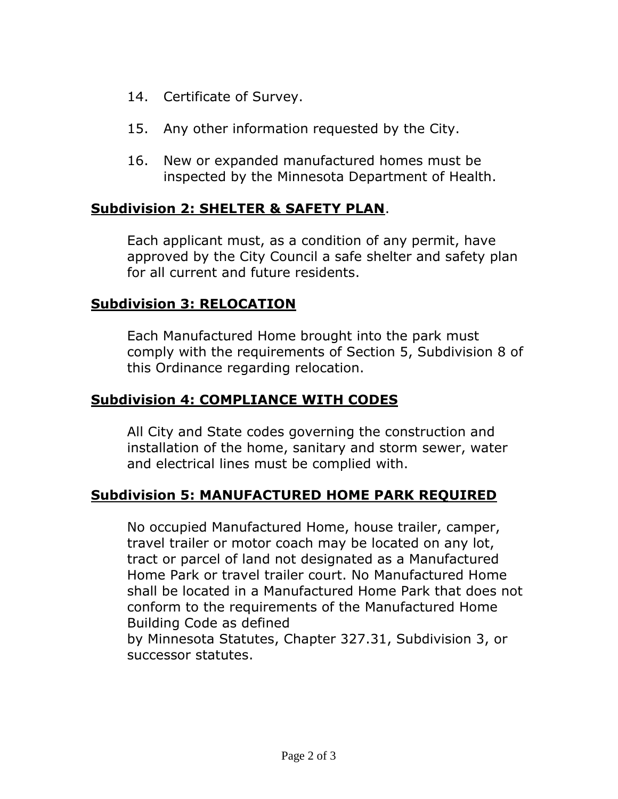- 14. Certificate of Survey.
- 15. Any other information requested by the City.
- 16. New or expanded manufactured homes must be inspected by the Minnesota Department of Health.

### **Subdivision 2: SHELTER & SAFETY PLAN**.

Each applicant must, as a condition of any permit, have approved by the City Council a safe shelter and safety plan for all current and future residents.

## **Subdivision 3: RELOCATION**

Each Manufactured Home brought into the park must comply with the requirements of Section 5, Subdivision 8 of this Ordinance regarding relocation.

## **Subdivision 4: COMPLIANCE WITH CODES**

All City and State codes governing the construction and installation of the home, sanitary and storm sewer, water and electrical lines must be complied with.

# **Subdivision 5: MANUFACTURED HOME PARK REQUIRED**

No occupied Manufactured Home, house trailer, camper, travel trailer or motor coach may be located on any lot, tract or parcel of land not designated as a Manufactured Home Park or travel trailer court. No Manufactured Home shall be located in a Manufactured Home Park that does not conform to the requirements of the Manufactured Home Building Code as defined

by Minnesota Statutes, Chapter 327.31, Subdivision 3, or successor statutes.